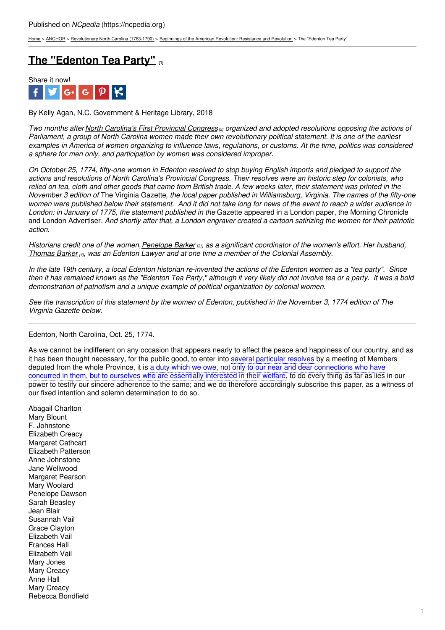[Home](https://ncpedia.org/) > [ANCHOR](https://ncpedia.org/anchor/anchor) > [Revolutionary](https://ncpedia.org/anchor/revolutionary-north-carolina) North Carolina (1763-1790) > Beginnings of the American [Revolution:](https://ncpedia.org/anchor/beginnings-american) Resistance and Revolution > The "Edenton Tea Party"

### **The ["Edenton](https://ncpedia.org/anchor/edenton-tea-party) Tea Party" [1]**



By Kelly Agan, N.C. Government & Heritage Library, 2018

Two months after North [Carolina's](https://www.ncpedia.org/anchor/first-provincial-congress) First Provincial Congress <sub>[2]</sub> organized and adopted resolutions opposing the actions of Parliament, a group of North Carolina women made their own revolutionary political statement. It is one of the earliest examples in America of women organizing to influence laws, regulations, or customs. At the time, politics was considered *a sphere for men only, and participation by women was considered improper.*

On October 25, 1774, fifty-one women in Edenton resolved to stop buying English imports and pledged to support the actions and resolutions of North Carolina's Provincial Congress. Their resolves were an historic step for colonists, who relied on tea, cloth and other goods that came from British trade. A few weeks later, their statement was printed in the November 3 edition of The Virginia Gazette, the local paper published in Williamsburg, Virginia. The names of the fifty-one women were published below their [statement.](http://www.social9.com) And it did not take long for news of the event to reach a wider audience in *London: in January of 1775, the statement published in the* Gazette appeared in a London paper, the Morning Chronicle and London Advertiser. And shortly after that, a London engraver created a cartoon satirizing the women for their patriotic *action.*

Historians credit one of the women, [Penelope](https://ncpedia.org/biography/barker-penelope) Barker [3], as a significant coordinator of the women's effort. Her husband, *[Thomas](https://ncpedia.org/biography/barker-thomas) Barker [4], was an Edenton Lawyer and at one time a member of the Colonial Assembly.*

In the late 19th century, a local Edenton historian re-invented the actions of the Edenton women as a "tea party". Since then it has remained known as the "Edenton Tea Party," although it very likely did not involve tea or a party. It was a bold *demonstration of patriotism and a unique example of political organization by colonial women.*

See the transcription of this statement by the women of Edenton, published in the November 3, 1774 edition of The *Virginia Gazette below.*

Edenton, North Carolina, Oct. 25, 1774.

As we cannot be indifferent on any occasion that appears nearly to affect the peace and happiness of our country, and as it has been thought necessary, for the public good, to enter into several particular resolves by a meeting of Members deputed from the whole Province, it is a duty which we owe, not only to our near and dear connections who have concurred in them, but to ourselves who are essentially interested in their welfare, to do every thing as far as lies in our power to testify our sincere adherence to the same; and we do therefore accordingly subscribe this paper, as a witness of our fixed intention and solemn determination to do so.

Abagail Charlton Mary Blount F. Johnstone Elizabeth Creacy Margaret Cathcart Elizabeth Patterson Anne Johnstone Jane Wellwood Margaret Pearson Mary Woolard Penelope Dawson Sarah Beasley Jean Blair Susannah Vail Grace Clayton Elizabeth Vail Frances Hall Elizabeth Vail Mary Jones Mary Creacy Anne Hall Mary Creacy Rebecca Bondfield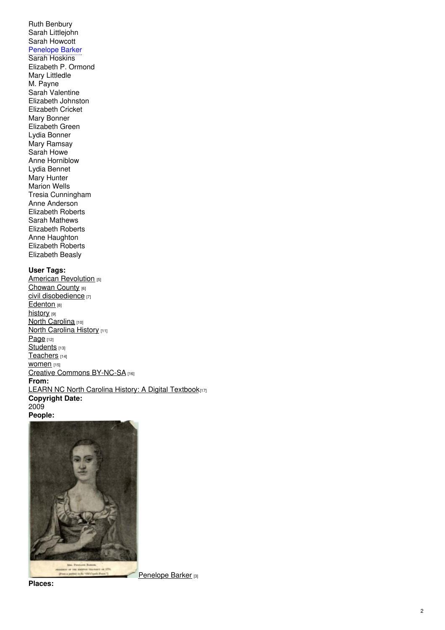### Ruth Benbury Sarah Littlejohn Sarah Howcott Penelope Barker

Sarah Hoskins Elizabeth P. Ormond Mary Littledle M. Payne Sarah Valentine Elizabeth Johnston Elizabeth Cricket Mary Bonner Elizabeth Green Lydia Bonner Mary Ramsay Sarah Howe Anne Horniblow Lydia Bennet Mary Hunter M a rio n W ells Tresia Cunningham Anne Anderson Elizabeth Roberts Sarah Mathews Elizabeth Roberts Anne Haughton Elizabeth Roberts Elizabeth Beasly

### **User Tags:**

[American](https://ncpedia.org/category/user-tags/american) Revolution [5] <u>[C](https://ncpedia.org/category/user-tags/chowan-county)howan County</u> [6] <u>[civil](https://ncpedia.org/category/user-tags/civil) disobedience  $_{\rm [7]}$ </u> <u>[E](https://ncpedia.org/category/user-tags/edenton)denton</u> <sub>[8]</sub> <u>[his](https://ncpedia.org/category/user-tags/history)tory</u> <sub>[9]</sub> <u>North Car[olin](https://ncpedia.org/category/user-tags/north-carolina-5)a [10]</u> <u>North Car[olin](https://ncpedia.org/category/user-tags/north-carolina-6)a History (11)</u> [P](https://ncpedia.org/category/user-tags/page)age [12] <u>S[tu](https://ncpedia.org/category/user-tags/students)dents</u> <sub>[13]</sub> [T](https://ncpedia.org/category/user-tags/teachers)eachers [14] WOMEN<sub>[15]</sub> Crea[tiv](https://ncpedia.org/category/user-tags/creative-commons)e Commons BY-NC-SA [16] **F r o m:** <u>[LEARN](https://ncpedia.org/category/entry-source/learn-nc) NC North Carolina History: A Digital Textbook $_{[17]}$ </u> **C o p y rig h t D a t e:** 2009 **People:**



**Pla c e s:**

**Pen[elo](https://ncpedia.org/biography/barker-penelope)pe Barker** [3]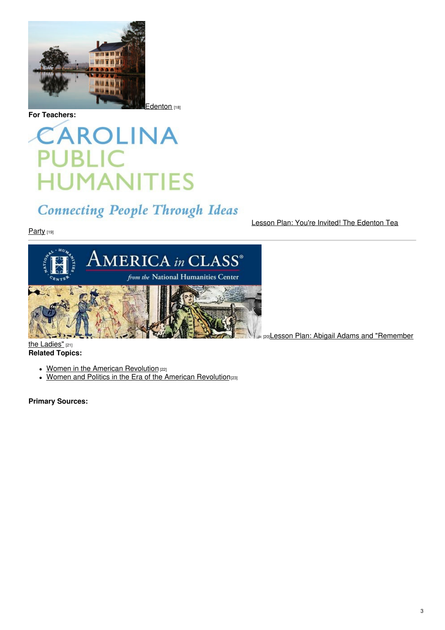

**For Teachers:**

[Edenton](https://ncpedia.org/edenton) [18]

# CAROLINA **PUBLIC HUMANITIES**

## **Connecting People Through Ideas**

Party [19]

Lesson Plan: You're Invited! The [Edenton](https://database.civics.unc.edu/wp-content/uploads/sites/31/2012/05/EdentonTeaParty.pdf) Tea



[20]Lesson Plan: Abigail Adams and ["Remember](http://americainclass.org/abigail-adams-and-remember-the-ladies/)

the Ladies" [21] **Related Topics:**

- Women in the American [Revolution](https://www.ncpedia.org/women-part-3-women-revolutionary-er) [22]
- Women and Politics in the Era of the American [Revolution](https://oxfordre.com/americanhistory/view/10.1093/acrefore/9780199329175.001.0001/acrefore-9780199329175-e-216)<sup>[23]</sup>

**Primary Sources:**